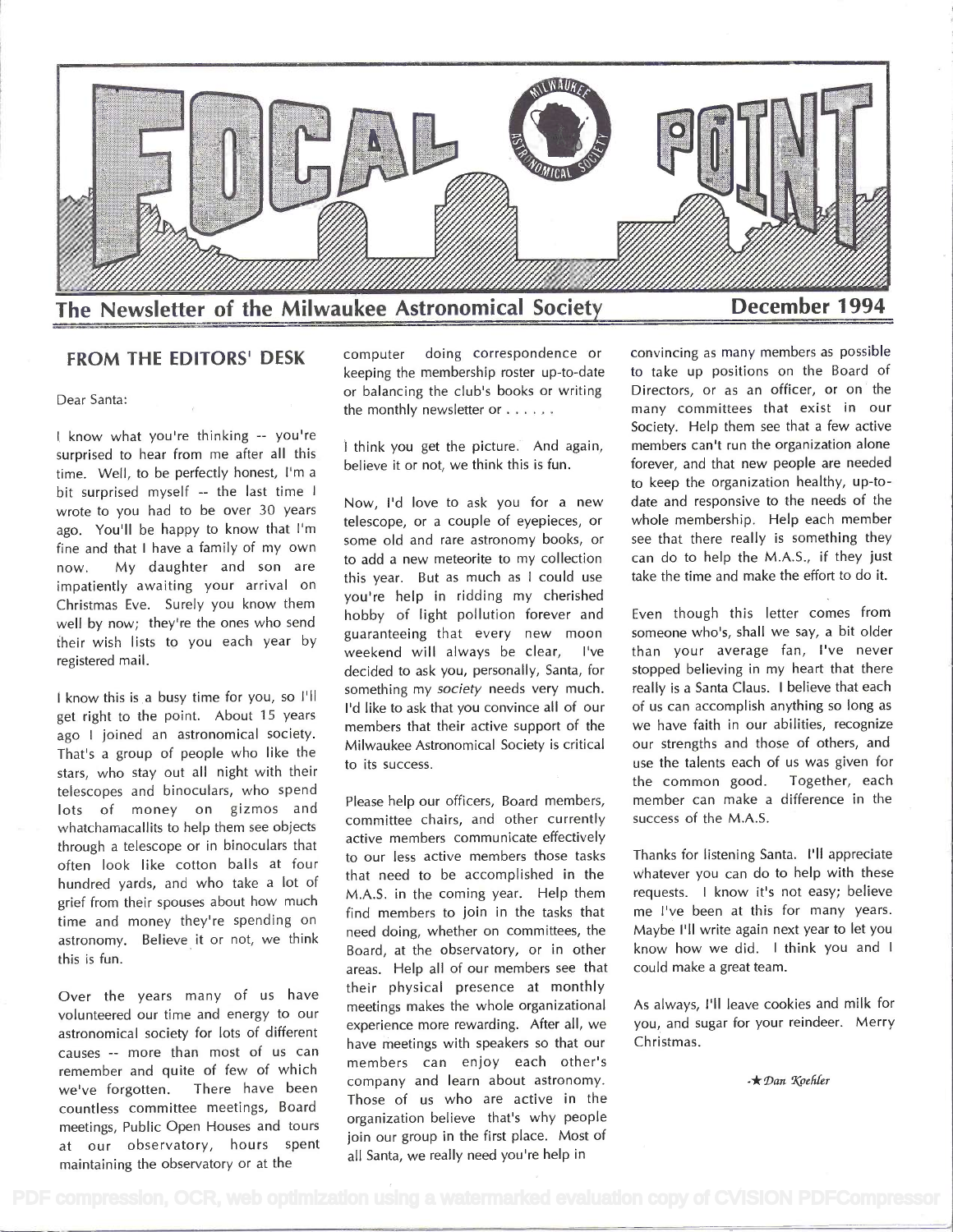

## FROM THE EDITORS' DESK computer

Dear Santa:

<sup>I</sup>know what you're thinking -- you're surprised to hear from me after all this time. Well, to be perfectly honest, I'm a bit surprised myself -- the last time I wrote to you had to be over 30 years ago. You'll be happy to know that I'm fine and that I have a family of my own now. My daughter and son are impatiently awaiting your arrival on Christmas Eve. Surely you know them well by now; they're the ones who send their wish lists to you each year by registered mail.

<sup>I</sup>know this is a busy time for you, so I'll get right to the point. About 15 years ago I joined an astronomical society. That's a group of people who like the stars, who stay out all night with their telescopes and binoculars, who spend lots of money on gizmos and whatchamacallits to help them see objects through a telescope or in binoculars that often look like cotton balls at four hundred yards, and who take a lot of grief from their spouses about how much time and money they're spending on astronomy. Believe it or not, we think this is fun.

Over the years many of us have volunteered our time and energy to our astronomical society for lots of different causes -- more than most of us can remember and quite of few of which we've forgotten. There have been countless committee meetings, Board meetings, Public Open Houses and tours at our observatory, hours spent maintaining the observatory or at the

doing correspondence or keeping the membership roster up-to-date or balancing the club's books or writing the monthly newsletter or . . . . . .

I think you get the picture. And again, believe it or not, we think this is fun.

Now, I'd love to ask you for a new telescope, or a couple of eyepieces, or some old and rare astronomy books, or to add a new meteorite to my collection this year. But as much as I could use you're help in ridding my cherished hobby of light pollution forever and guaranteeing that every new moon weekend will always be clear, l've decided to ask you, personally, Santa, for something my society needs very much. I'd like to ask that you convince all of our members that their active support of the Milwaukee Astronomical Society is critical to its success.

Please help our officers, Board members, committee chairs, and other currently active members communicate effectively to our less active members those tasks that need to be accomplished in the M.A.S. in the coming year. Help them find members to join in the tasks that need doing, whether on committees, the Board, at the observatory, or in other areas. Help all of our members see that their physical presence at monthly meetings makes the whole organizational experience more rewarding. After all, we have meetings with speakers so that our members can enjoy each other's company and learn about astronomy. Those of us who are active in the organization believe that's why people join our group in the first place. Most of all Santa, we really need you're help in

convincing as many members as possible to take up positions on the Board of Directors, or as an officer, or on the many committees that exist in our Society. Help them see that a few active members can't run the organization alone forever, and that new people are needed to keep the organization healthy, up-todate and responsive to the needs of the whole membership. Help each member see that there really is something they can do to help the M.A.S., if they just take the time and make the effort to do it.

Even though this letter comes from someone who's, shall we say, a bit older than your average fan, I've never stopped believing in my heart that there really is a Santa Claus. I believe that each of us can accomplish anything so long as we have faith in our abilities, recognize our strengths and those of others, and use the talents each of us was given for the common good. Together, each member can make a difference in the success of the M.A.S.

Thanks for listening Santa. I'll appreciate whatever you can do to help with these requests. I know it's not easy; believe me l've been at this for many years. Maybe I'll write again next year to let you know how we did. I think you and <sup>I</sup>could make a great team.

As always, I'll leave cookies and milk for you, and sugar for your reindeer. Merry Christmas.

 $\star$  Dan Koehler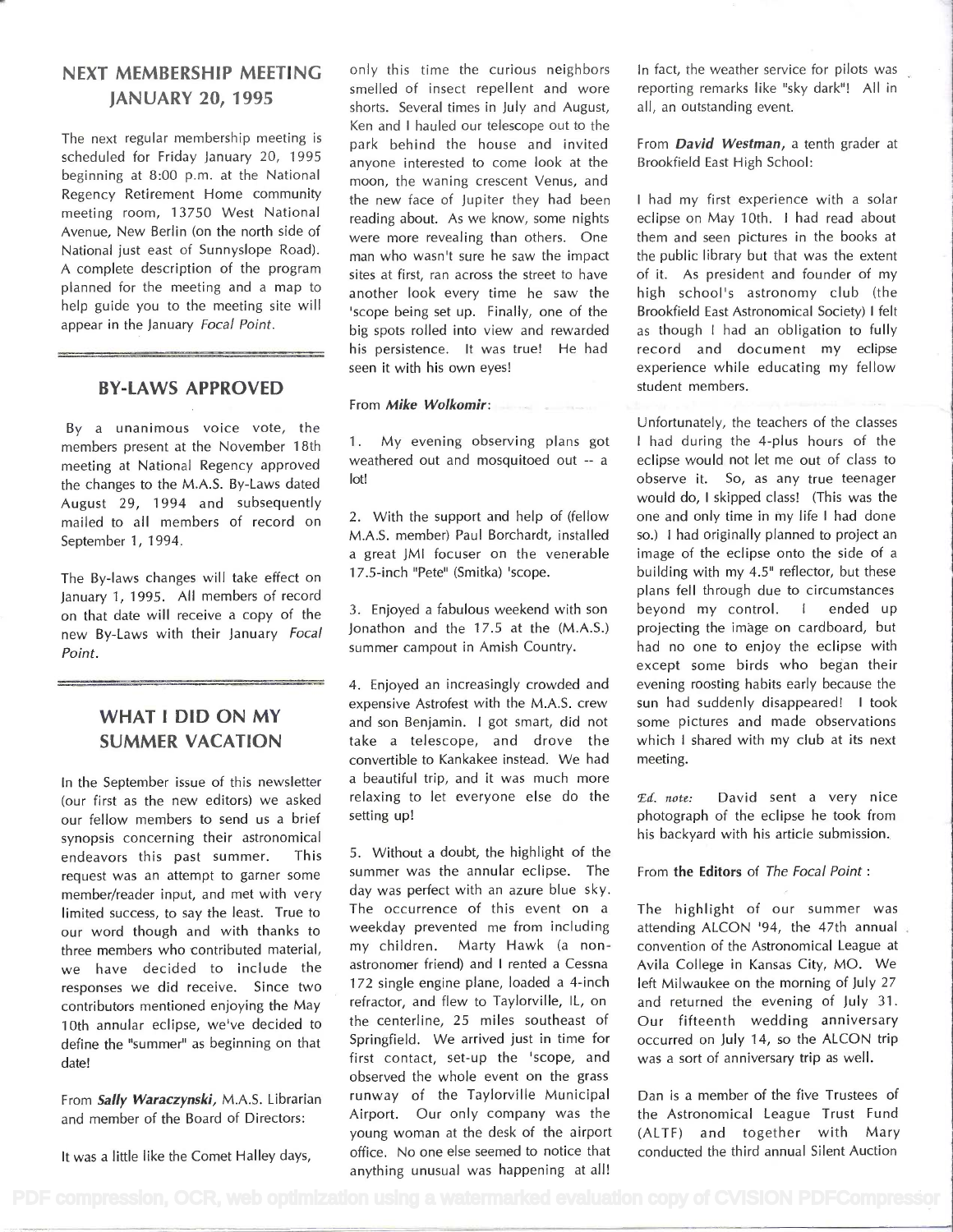# NEXT MEMBERSHIP MEETING JANUARY 20, 1995

The next regular membership meeting is scheduled for Friday January 20, 1995 beginning at 8:00 p.m. at the National Regency Retirement Home community meeting room, 13750 West National Avenue, New Berlin (on the north side of National just east of Sunnyslope Road). A complete description of the program planned for the meeting and a map to help guide you to the meeting site will appear in the January Focal Point.

### BY-LAWS APPROVED

By a unanimous voice vote, the members present at the November 1 8th meeting at National Regency approved the changes to the M.A.S. By-Laws dated August 29, 1994 and subsequently mailed to all members of record on September 1, 1994.

The By-laws changes will take effect on January 1, 1995. All members of record on that date will receive a copy of the new By-Laws with their January Focal Point.

## WHAT I DID ON MY SUMMER VACATION

In the September issue of this newsletter (our first as the new editors) we asked our fellow members to send us a brief synopsis concerning their astronomical endeavors this past summer. This request was an attempt to garner some member/reader input, and met with very limited success, to say the least. True to our word though and with thanks to three members who contributed material, we have decided to include the responses we did receive. Since two contributors mentioned enjoying the May 10th annular eclipse, we've decided to define the "summer" as beginning on that date!

From Sally Waraczynski, M.A.S. Librarian and member of the Board of Directors:

It was a little like the Comet Halley days,

only this time the curious neighbors smelled of insect repellent and wore shorts. Several times in July and August, Ken and I hauled our telescope out to the park behind the house and invited anyone interested to come look at the moon, the waning crescent Venus, and the new face of Jupiter they had been reading about. As we know, some nights were more revealing than others. One man who wasn't sure he saw the impact sites at first, ran across the street to have another look every time he saw the 'scope being set up. Finally, one of the big spots rolled into view and rewarded his persistence. It was true! He had seen it with his own eyes!

#### From Mike Wolkomir:

<sup>1</sup>. My evening observing plans got weathered out and mosquitoed out -- a lot!

2. With the support and help of (fellow M.A.S. member) Paul Borchardt, installed a great JMI focuser on the venerable <sup>1</sup>7.5-inch "Pete" (Smitka) 'scope.

3. Enjoyed a fabulous weekend with son Jonathon and the 17.5 at the (M.A.S.) summer campout in Amish Country.

4. Enjoyed an increasingly crowded and expensive Astrofest with the M.A.S. crew and son Benjamin. I got smart, did not take a telescope, and drove the convertible to Kankakee instead. We had a beautiful trip, and it was much more relaxing to let everyone else do the  $Ed$ , note: setting up!

5. Without a doubt, the highlight of the summer was the annular eclipse. The day was perfect with an azure blue sky. The occurrence of this event on a weekday prevented me from including my children. Marty Hawk (a nonastronomer friend) and I rented a Cessna <sup>1</sup>72 single engine plane, loaded a 4-inch refractor, and flew to Taylorville, IL, on the centerline, 25 miles southeast of Springfield. We arrived just in time for first contact, set-up the 'scope, and observed the whole event on the grass runway of the Taylorville Municipal Airport. Our only company was the young woman at the desk of the airport office. No one else seemed to notice that In fact, the weather service for pilots was reporting remarks like "sky dark"! All in all, an outstanding event.

From David Westman, a tenth grader at Brookfield East High School:

<sup>I</sup>had my first experience with a solar eclipse on May 10th. I had read about them and seen pictures in the books at the public library but that was the extent of it. As president and founder of my high school's astronomy club (the Brookfield East Astronomical Society) I felt as though I had an obligation to fully record and document my eclipse experience while educating my fellow student members.

Unfortunately, the teachers of the classes <sup>I</sup>had during the 4-plus hours of the eclipse would not let me out of class to observe it. So, as any true teenager would do, I skipped class! (This was the one and only time in my life I had done so.) I had originally planned to project an image of the eclipse onto the side of a building with my 4.5" reflector, but these plans fell through due to circumstances beyond my control. I ended up projecting the image on cardboard, but had no one to enjoy the eclipse with except some birds who began their evening roosting habits early because the sun had suddenly disappeared! I took some pictures and made observations which I shared with my club at its next meeting.

David sent a very nice photograph of the eclipse he took from his backyard with his article submission.

From the Editors of The Focal Point:

The highlight of our summer was attending ALCON '94, the 47th annual convention of the Astronomical League at Avila College in Kansas City, MO. We left Milwaukee on the morning of July 27 and returned the evening of July 31. Our fifteenth wedding anniversary occurred on July 14, so the ALCON trip was a sort of anniversary trip as well.

Dan is a member of the five Trustees of the Astronomical League Trust Fund (ALTF) and together with Mary conducted the third annual Silent Auction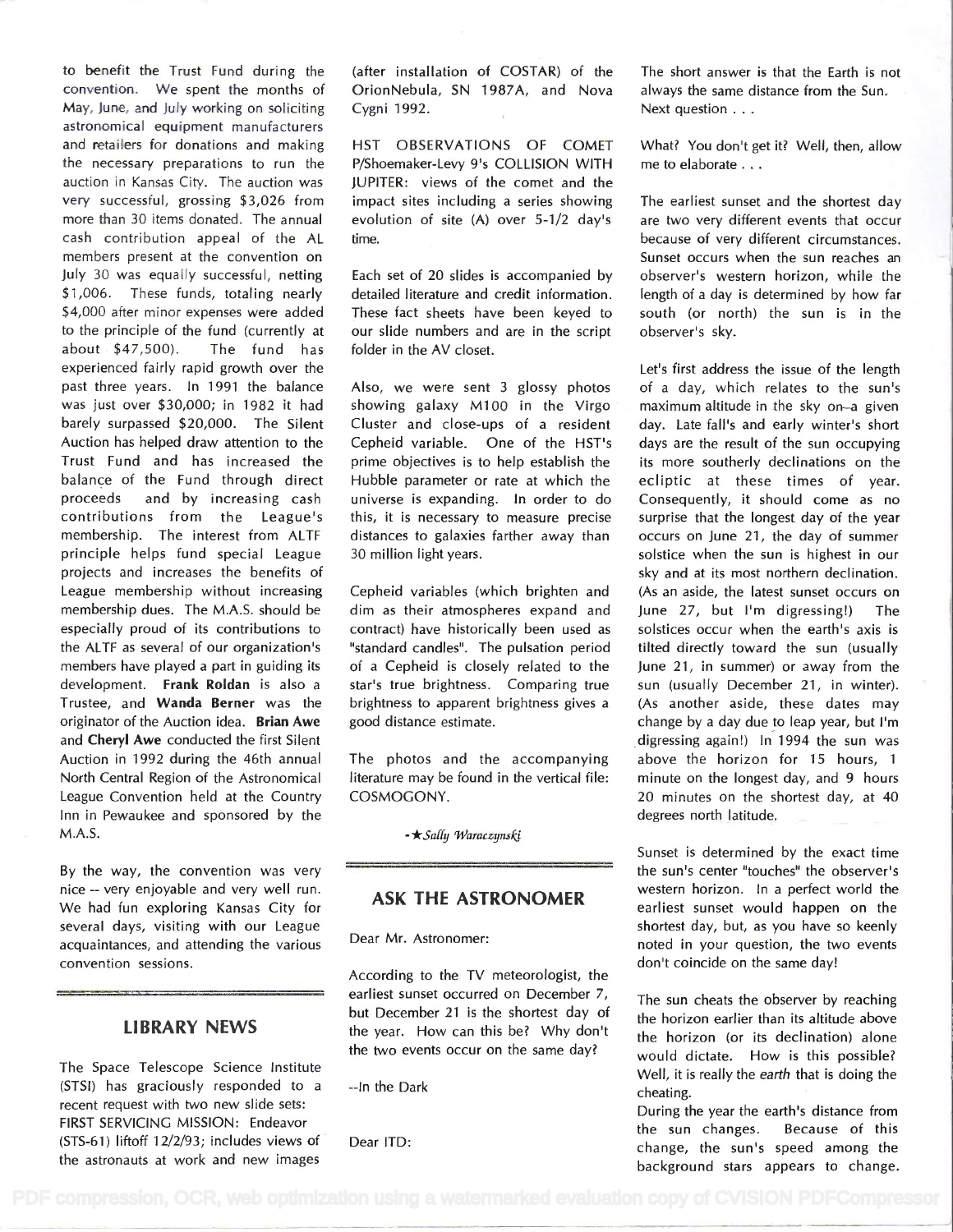to benefit the Trust Fund during the convention. We spent the months of May, June, and July working on soliciting astronomical equipment manufacturers and retailers for donations and making the necessary preparations to run the auction in Kansas City. The auction was very successful, grossing \$3,026 from more than 30 items donated. The annual cash contribution appeal of the AL members present at the convention on July 30 was equally successful, netting \$1,006. These funds, totaling nearly \$4,000 after minor expenses were added to the principle of the fund (currently at about \$47,500). The fund has experienced fairly rapid growth over the past three years. In 1991 the balance was just over \$30,000; in 1982 it had barely surpassed \$20,000. The Silent Auction has helped draw attention to the Trust Fund and has increased the balance of the Fund through direct proceeds and by increasing cash contributions from the League's membership. The interest from ALTF principle helps fund special League projects and increases the benefits of League membership without increasing membership dues. The M.A.S. should be especially proud of its contributions to the ALTF as several of our organization's members have played a part in guiding its development. Frank Roldan is also a Trustee, and Wanda Berner was the originator of the Auction idea. Brian Awe and Cheryl Awe conducted the first Silent Auction in 1992 during the 46th annual North Central Region of the Astronomical League Convention held at the Country Inn in Pewaukee and sponsored by the M.A.S.

By the way, the convention was very nice -- very enjoyable and very well run. We had fun exploring Kansas City for several days, visiting with our League acquaintances, and attending the various convention sessions.

### LIBRARY NEWS

The Space Telescope Science Institute (STSI) has graciously responded to a recent request with two new slide sets: FIRST SERVICING MISSION: Endeavor (STS-61) liftoff 12/2/93; includes views of the astronauts at work and new images (after installation of COSTAR) of the OrionNebula, SN 1987A, and Nova Cygni 1992.

HST OBSERVATIONS OF COMET P/Shoemaker-Levy 9's COLLISION WITH JUPITER: views of the comet and the impact sites including a series showing evolution of site (A) over 5-1/2 day's time.

Each set of 20 slides is accompanied by detailed literature and credit information. These fact sheets have been keyed to our slide numbers and are in the script folder in the AV closet.

Also, we were sent 3 glossy photos showing galaxy M100 in the Virgo Cluster and close-ups of a resident Cepheid variable. One of the HST's prime objectives is to help establish the Hubble parameter or rate at which the universe is expanding. In order to do this, it is necessary to measure precise distances to galaxies farther away than 30 million light years.

Cepheid variables (which brighten and dim as their atmospheres expand and contract) have historically been used as "standard candles". The pulsation period of a Cepheid is closely related to the star's true brightness. Comparing true brightness to apparent brightness gives a good distance estimate.

The photos and the accompanying literature may be found in the vertical file: COSMOGONY.

- \* Sally Waraczynski

## ASK THE ASTRONOMER

Dear Mr. Astronomer:

According to the TV meteorologist, the earliest sunset occurred on December 7, but December 21 is the shortest day of the year. How can this be? Why don't the two events occur on the same day?

--In the Dark

Dear ITD:

The short answer is that the Earth is not always the same distance from the Sun. Next question . . .

What? You don't get it? Well, then, allow me to elaborate . .

The earliest sunset and the shortest day are two very different events that occur because of very different circumstances. Sunset occurs when the sun reaches an observer's western horizon, while the length of a day is determined by how far south (or north) the sun is in the observer's sky.

Let's first address the issue of the length of a day, which relates to the sun's maximum altitude in the sky on-a given day. Late fall's and early winter's short days are the result of the sun occupying its more southerly declinations on the ecliptic at these times of year. Consequently, it should come as no surprise that the longest day of the year occurs on June 21, the day of summer solstice when the sun is highest in our sky and at its most northern declination. (As an aside, the latest sunset occurs on June 27, but I'm digressing!) The solstices occur when the earth's axis is tilted directly toward the sun (usually June 21, in summer) or away from the sun (usually December 21, in winter). (As another aside, these dates may change by a day due to leap year, but I'm digressing again!) In 1994 the sun was above the horizon for 15 hours, 1 minute on the longest day, and 9 hours 20 minutes on the shortest day, at 40 degrees north latitude.

Sunset is determined by the exact time the sun's center "touches" the observer's western horizon. In a perfect world the earliest sunset would happen on the shortest day, but, as you have so keenly noted in your question, the two events don't coincide on the same day!

The sun cheats the observer by reaching the horizon earlier than its altitude above the horizon (or its declination) alone would dictate. How is this possible? Well, it is really the earth that is doing the cheating.

During the year the earth's distance from the sun changes. Because of this change, the sun's speed among the background stars appears to change.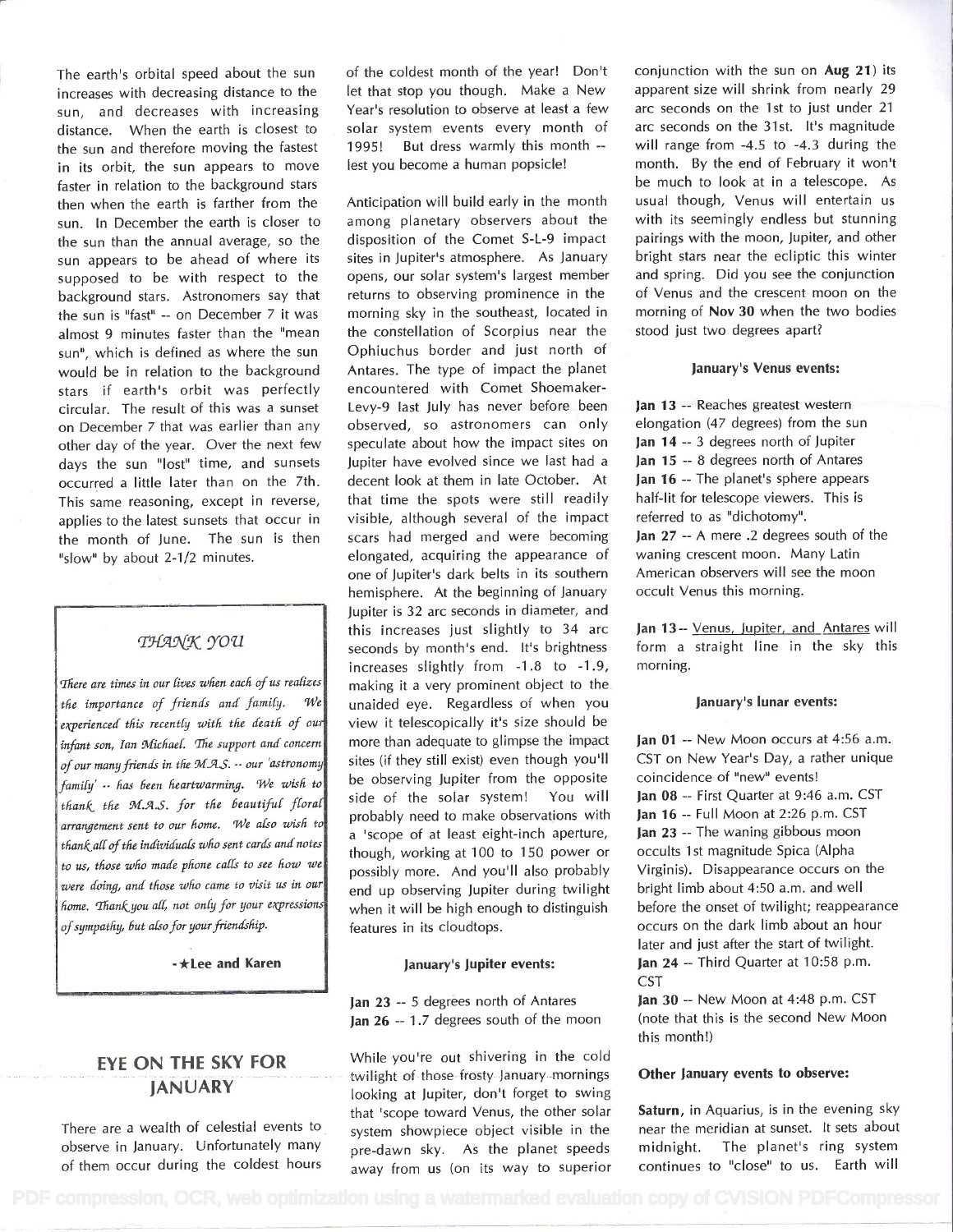The earth's orbital speed about the sun increases with decreasing distance to the sun, and decreases with increasing distance. When the earth is closest to the sun and therefore moving the fastest in its orbit, the sun appears to move faster in relation to the background stars then when the earth is farther from the sun. In December the earth is closer to the sun than the annual average, so the sun appears to be ahead of where its supposed to be with respect to the background stars. Astronomers say that the sun is "fast" -- on December 7 it was almost 9 minutes faster than the "mean sun", which is defined as where the sun would be in relation to the background stars if earth's orbit was perfectly circular. The result of this was a sunset on December 7 that was earlier than any other day of the year. Over the next few days the sun "lost" time, and sunsets occurred a little later than on the 7th. This same reasoning, except in reverse, applies to the latest sunsets that occur in the month of June. The sun is then "slow" by about 2-1/2 minutes.

### THANK YOU

There are times in our lives when each of us realizes the importance of friends and family.  $|\mathcal{W}_e|$ experienced this recently with the death of our infant son, Ian Michael. The support and concern of our many friends in the M.A.S. -- our 'astronomy family' -- has been heartwarming. We wish to thank the M.A.S. for the beautiful floral arrangement sent to our home. We also wish to thank all of the individuals who sent cards and notes to us, those who made phone calls to see how we were doing, and those who came to visit us in our home. Thank you all, not only for your expressions of sumpathy, but also for your friendship.

-\*Lee and Karen

## **EYE ON THE SKY FOR JANUARY**

There are a wealth of celestial events to observe in January. Unfortunately many and a financial control of the conof the coldest month of the year! Don't let that stop you though. Make a New Year's resolution to observe at least a few solar system events every month of 1995! But dress warmly this month -lest you become a human popsicle!

Anticipation will build early in the month among planetary observers about the disposition of the Comet S-L-9 impact sites in Jupiter's atmosphere. As January opens, our solar system's largest member returns to observing prominence in the morning sky in the southeast, located in the constellation of Scorpius near the Ophiuchus border and just north of Antares. The type of impact the planet encountered with Comet Shoemaker-Levy-9 last July has never before been observed, so astronomers can only speculate about how the impact sites on Jupiter have evolved since we last had a decent look at them in late October. At that time the spots were still readily visible, although several of the impact scars had merged and were becoming elongated, acquiring the appearance of one of Jupiter's dark belts in its southern hemisphere. At the beginning of January Jupiter is 32 arc seconds in diameter, and this increases just slightly to 34 arc seconds by month's end. It's brightness increases slightly from -1.8 to -1.9, making it a very prominent object to the unaided eye. Regardless of when you view it telescopically it's size should be more than adequate to glimpse the impact sites (if they still exist) even though you'll be observing Jupiter from the opposite side of the solar system! You will probably need to make observations with a 'scope of at least eight-inch aperture, though, working at 100 to 150 power or possibly more. And you'll also probably end up observing Jupiter during twilight when it will be high enough to distinguish features in its cloudtops.

#### January's Jupiter events:

Jan 23 -- 5 degrees north of Antares Jan 26 -- 1.7 degrees south of the moon

While you're out shivering in the cold twilight of those frosty January mornings looking at Jupiter, don't forget to swing that 'scope toward Venus, the other solar system showpiece object visible in the pre-dawn sky. As the planet speeds

conjunction with the sun on Aug 21) its apparent size will shrink from nearly 29 arc seconds on the 1st to just under 21 arc seconds on the 31st. It's magnitude will range from  $-4.5$  to  $-4.3$  during the month. By the end of February it won't be much to look at in a telescope. As usual though, Venus will entertain us with its seemingly endless but stunning pairings with the moon, Jupiter, and other bright stars near the ecliptic this winter and spring. Did you see the conjunction of Venus and the crescent moon on the morning of Nov 30 when the two bodies stood just two degrees apart?

#### January's Venus events:

Jan 13 -- Reaches greatest western elongation (47 degrees) from the sun Jan 14 -- 3 degrees north of Jupiter Jan 15 -- 8 degrees north of Antares Jan 16 -- The planet's sphere appears half-lit for telescope viewers. This is referred to as "dichotomy". Jan 27 -- A mere .2 degrees south of the waning crescent moon. Many Latin American observers will see the moon occult Venus this morning.

Jan 13 -- Venus, Jupiter, and Antares will form a straight line in the sky this morning.

#### January's lunar events:

Jan 01 -- New Moon occurs at 4:56 a.m. CST on New Year's Day, a rather unique coincidence of "new" events! Jan 08 -- First Quarter at 9:46 a.m. CST Jan 16 -- Full Moon at 2:26 p.m. CST Jan 23 -- The waning gibbous moon occults 1st magnitude Spica (Alpha Virginis). Disappearance occurs on the bright limb about 4:50 a.m. and well before the onset of twilight; reappearance occurs on the dark limb about an hour later and just after the start of twilight. Jan 24 -- Third Quarter at 10:58 p.m. CST

Jan 30 -- New Moon at 4:48 p.m. CST (note that this is the second New Moon this month!)

### Other January events to observe:

Saturn, in Aquarius, is in the evening sky near the meridian at sunset. It sets about midnight. The planet's ring system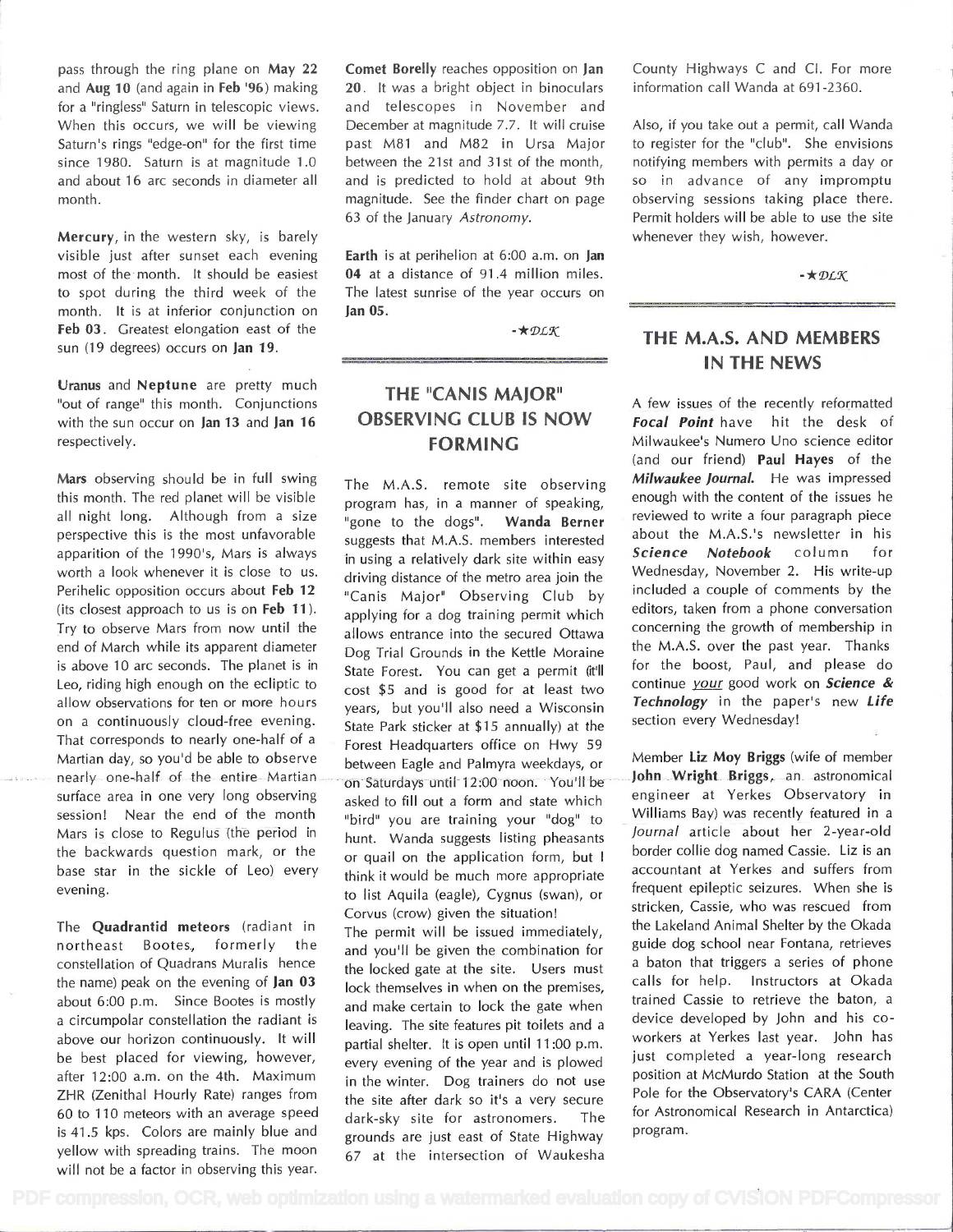pass through the ring plane on May 22 and Aug 10 (and again in Feb '96) making for a "ringless" Saturn in telescopic views. When this occurs, we will be viewing Saturn's rings "edge-on" for the first time since 1980. Saturn is at magnitude 1.0 and about 16 arc seconds in diameter all month.

Mercury, in the western sky, is barely visible just after sunset each evening most of the month. lt should be easiest to spot during the third week of the month. It is at inferior conjunction on Feb 03. Greatest elongation east of the sun (19 degrees) occurs on Jan 19.

Uranus and Neptune are pretty much "out of range" this month. Conjunctions with the sun occur on Jan 13 and Jan 16 respectively.

Mars observing should be in full swing this month. The red planet will be visible all night long. Although from a size perspective this is the most unfavorable apparition of the 1990's, Mars is always worth a look whenever it is close to us. Perihelic opposition occurs about Feb 12 (its closest approach to us is on Feb  $11$ ). Try to observe Mars from now until the end of March while its apparent diameter is above 10 arc seconds. The planet is in Leo, riding high enough on the ecliptic to allow observations for ten or more hours on a continuously cloud-free evening. That corresponds to nearly one-half of a Martian day, so you'd be able to observe between Eagle and Palmyra weekdays, or nearly one-half of the entire Martian on Saturdays until 12:00 noon. You'll be surface area in one very long observing asked to fill out a form and state which session! Near the end of the month "bird" you are training your "dog" to Mars is close to Regulus (the period in the backwards question mark, or the or quail on the application form, but I base star in the sickle of Leo) every evening.

The Quadrantid meteors (radiant in northeast Bootes, formerly the constellation of Quadrans Muralis hence the name) peak on the evening of Jan 03 about 6:00 p.m. Since Bootes is mostly a circumpolar constellation the radiant is leaving. The site features pit toilets and a above our horizon continuously. lt will be best placed for viewing, however, every evening of the year and is plowed after 12:00 a.m. on the 4th. Maximum ZHR (Zenithal Hourly Rate) ranges from 60 to 110 meteors with an average speed dark-sky site for astronomers. is 41 .5 kps. Colors are mainly blue and yellow with spreading trains. The moon

Comet Borelly reaches opposition on Jan 20. lt was a bright object in binoculars and telescopes in November and December at magnitude 7.7. lt will cruise past M81 and M82 in Ursa Major between the 21st and 31st of the month, and is predicted to hold at about 9th magnitude. See the finder chart on page 63 of the January Astronomy.

Earth is at perihelion at 6:00 a.m. on Jan 04 at a distance of 91.4 million miles. The latest sunrise of the year occurs on Jan 05.

 $-\star$ DLK

# THE "CANIS MAJOR" OBSERVING CLUB IS NOW FORMING

The M.A.S. remote site observing program has, in a manner of speaking, "gone to the dogs". Wanda Berner suggests that M.A.S. members interested in using a relatively dark site within easy driving distance of the metro area join the "Canis Major" Observing Club by applying for a dog training permit which allows entrance into the secured Ottawa Dog Trial Grounds in the Kettle Moraine State Forest. You can get a permit (it'll cost \$5 and is good for at least two years, but you'll also need a Wisconsin ate Park sticker at \$15 annually) at the section every Wednesday! Forest Headquarters office on Hwy 59 hunt. Wanda suggests listing pheasants think it would be much more appropriate to list Aquila (eagle), Cygnus (swan), or frequent epileptic seizures. When she is

The permit will be issued immediately, the Lakeland Animal Shelter by the Okada<br>and you'll be given the combination for guide dog school near Fontana, retrieves and you'll be given the combination for guide dog school near Fontana, retrieves<br>the locked gate at the site. Hence must a baton that triggers a series of phone the locked gate at the site. Users must a baton that triggers a series of phone<br>Label that the site when an the approises calls for help. Instructors at Okada lock themselves in when on the premises, calls for help. Instructors at Okada<br>and realis eartein to lock the gate when trained Cassie to retrieve the baton, a and make certain to lock the gate when partial shelter. It is open until 11:00 p.m. in the winter. Dog trainers do not use position at McMurdo Station at the South<br>the site often dark as itle a very sequence of the Observatory's CARA (Center the site after dark so it's a very secure grounds are just east of State Highway 67 at the intersection of Waukesha

County Highways C and Cl. For more information call Wanda at 691-2360.

Also, if you take out a permit, call Wanda to register for the "club". She envisions notifying members with permits a day or so in advance of any impromptu observing sessions taking place there. Permit holders will be able to use the site whenever they wish, however.

 $-\bigstar$  DLK

## THE M.A.S. AND MEMBERS IN THE NEWS

A few issues of the recently reformatted Focal Point have hit the desk of Milwaukee's Numero Uno science editor (and our friend) Paul Hayes of the Milwaukee Journal. He was impressed enough with the content of the issues he reviewed to write a four paragraph piece about the M.A.S.'s newsletter in his Science Notebook column for Wednesday, November 2. His write-up included a couple of comments by the editors, taken from a phone conversation concerning the growth of membership in the M.A.S. over the past year. Thanks for the boost, Paul, and please do continue your good work on Science  $\&$ Technology in the paper's new Life

Member Liz Moy Briggs (wife of member John Wright Briggs, an astronomical engineer at Yerkes Observatory in Williams Bay) was recently featured in a<br>Journal article about her 2-year-old border collie dog named Cassie. Liz is an accountant at Yerkes and suffers from Corvus (crow) given the situation! stricken, Cassie, who was rescued from device developed by John and his co-<br>workers at Yerkes last year. John has just completed a year-long research<br>position at McMurdo Station at the South The for Astronomical Research in Antarctica)<br>way program.